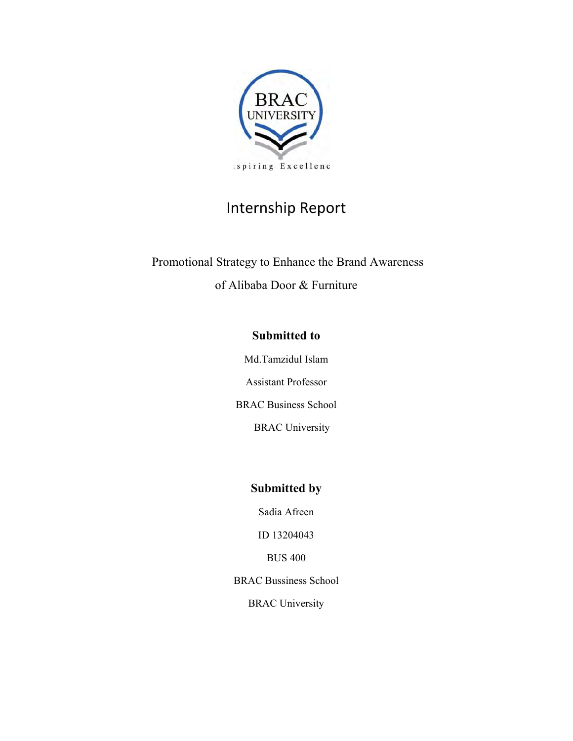

# Internship Report

 Promotional Strategy to Enhance the Brand Awareness of Alibaba Door & Furniture

## **Submitted to**

Md.Tamzidul Islam

Assistant Professor

BRAC Business School

BRAC University

## **Submitted by**

Sadia Afreen

ID 13204043

BUS 400

BRAC Bussiness School

BRAC University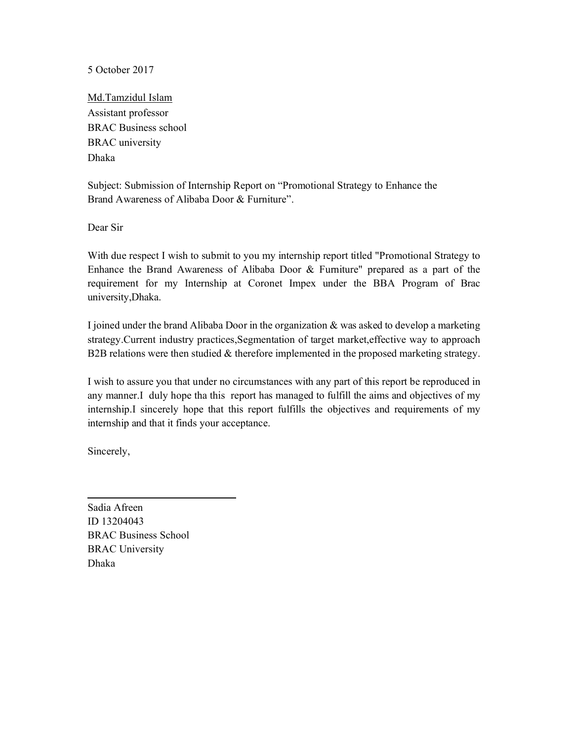5 October 2017

Md.Tamzidul Islam Assistant professor BRAC Business school BRAC university Dhaka

Subject: Submission of Internship Report on "Promotional Strategy to Enhance the Brand Awareness of Alibaba Door & Furniture".

Dear Sir

With due respect I wish to submit to you my internship report titled "Promotional Strategy to Enhance the Brand Awareness of Alibaba Door & Furniture" prepared as a part of the requirement for my Internship at Coronet Impex under the BBA Program of Brac university,Dhaka.

I joined under the brand Alibaba Door in the organization & was asked to develop a marketing strategy.Current industry practices,Segmentation of target market,effective way to approach B2B relations were then studied & therefore implemented in the proposed marketing strategy.

I wish to assure you that under no circumstances with any part of this report be reproduced in any manner.I duly hope tha this report has managed to fulfill the aims and objectives of my internship.I sincerely hope that this report fulfills the objectives and requirements of my internship and that it finds your acceptance.

Sincerely,

Sadia Afreen ID 13204043 BRAC Business School BRAC University Dhaka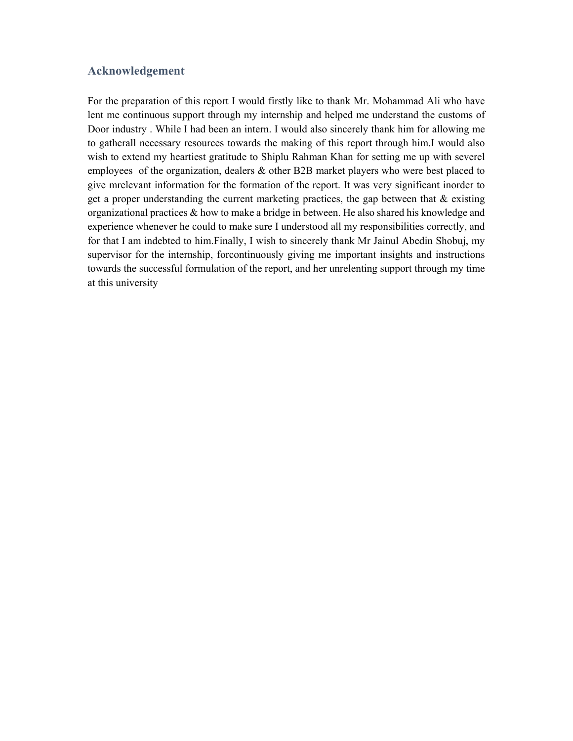#### **Acknowledgement**

For the preparation of this report I would firstly like to thank Mr. Mohammad Ali who have lent me continuous support through my internship and helped me understand the customs of Door industry . While I had been an intern. I would also sincerely thank him for allowing me to gatherall necessary resources towards the making of this report through him.I would also wish to extend my heartiest gratitude to Shiplu Rahman Khan for setting me up with severel employees of the organization, dealers & other B2B market players who were best placed to give mrelevant information for the formation of the report. It was very significant inorder to get a proper understanding the current marketing practices, the gap between that  $\&$  existing organizational practices  $\&$  how to make a bridge in between. He also shared his knowledge and experience whenever he could to make sure I understood all my responsibilities correctly, and for that I am indebted to him.Finally, I wish to sincerely thank Mr Jainul Abedin Shobuj, my supervisor for the internship, forcontinuously giving me important insights and instructions towards the successful formulation of the report, and her unrelenting support through my time at this university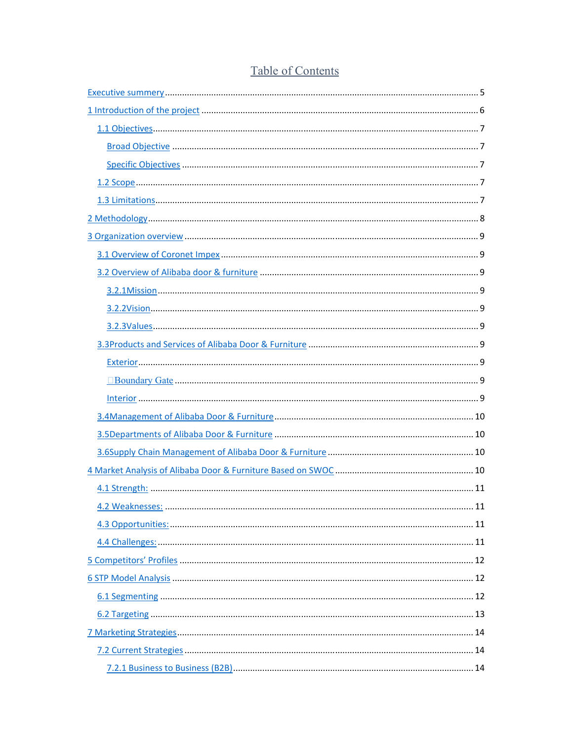| .11 |
|-----|
|     |
|     |
|     |
|     |
|     |
|     |
|     |
|     |
|     |

# Table of Contents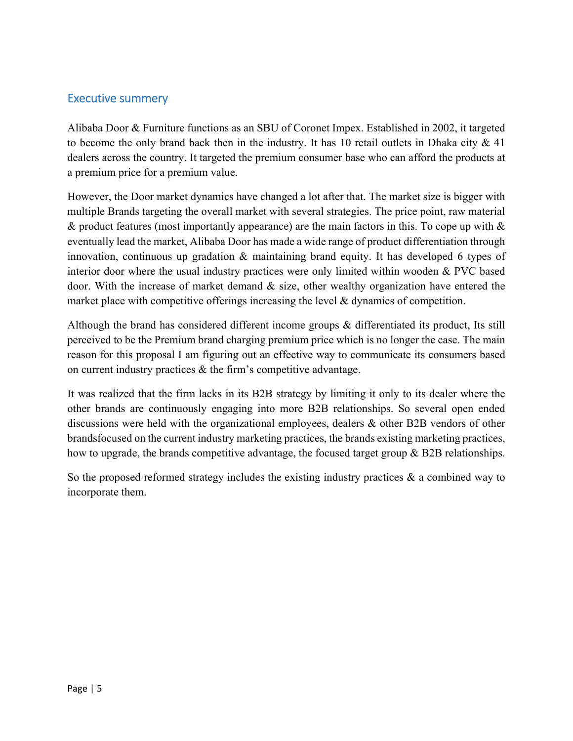## Executive summery

Alibaba Door & Furniture functions as an SBU of Coronet Impex. Established in 2002, it targeted to become the only brand back then in the industry. It has 10 retail outlets in Dhaka city  $\&$  41 dealers across the country. It targeted the premium consumer base who can afford the products at a premium price for a premium value.

However, the Door market dynamics have changed a lot after that. The market size is bigger with multiple Brands targeting the overall market with several strategies. The price point, raw material & product features (most importantly appearance) are the main factors in this. To cope up with  $\&$ eventually lead the market, Alibaba Door has made a wide range of product differentiation through innovation, continuous up gradation & maintaining brand equity. It has developed 6 types of interior door where the usual industry practices were only limited within wooden & PVC based door. With the increase of market demand & size, other wealthy organization have entered the market place with competitive offerings increasing the level & dynamics of competition.

Although the brand has considered different income groups & differentiated its product, Its still perceived to be the Premium brand charging premium price which is no longer the case. The main reason for this proposal I am figuring out an effective way to communicate its consumers based on current industry practices & the firm's competitive advantage.

It was realized that the firm lacks in its B2B strategy by limiting it only to its dealer where the other brands are continuously engaging into more B2B relationships. So several open ended discussions were held with the organizational employees, dealers & other B2B vendors of other brandsfocused on the current industry marketing practices, the brands existing marketing practices, how to upgrade, the brands competitive advantage, the focused target group & B2B relationships.

So the proposed reformed strategy includes the existing industry practices  $\&$  a combined way to incorporate them.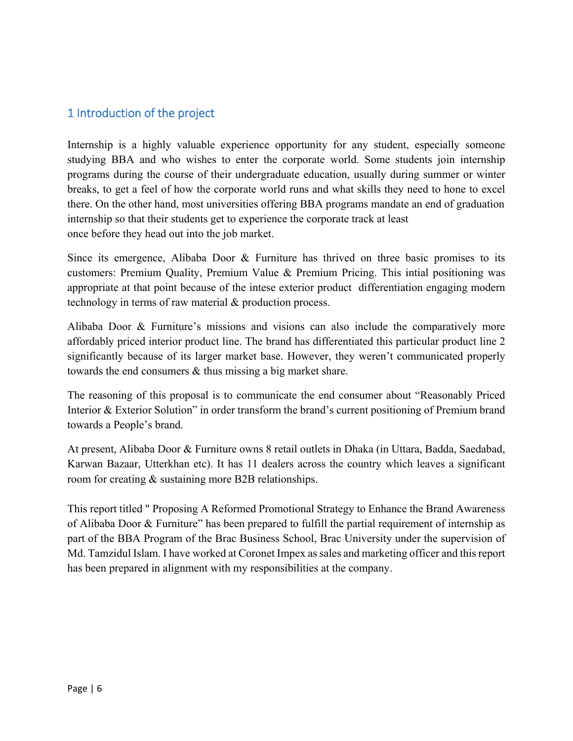## 1 Introduction of the project

Internship is a highly valuable experience opportunity for any student, especially someone studying BBA and who wishes to enter the corporate world. Some students join internship programs during the course of their undergraduate education, usually during summer or winter breaks, to get a feel of how the corporate world runs and what skills they need to hone to excel there. On the other hand, most universities offering BBA programs mandate an end of graduation internship so that their students get to experience the corporate track at least once before they head out into the job market.

Since its emergence, Alibaba Door  $\&$  Furniture has thrived on three basic promises to its customers: Premium Quality, Premium Value & Premium Pricing. This intial positioning was appropriate at that point because of the intese exterior product differentiation engaging modern technology in terms of raw material & production process.

Alibaba Door & Furniture's missions and visions can also include the comparatively more affordably priced interior product line. The brand has differentiated this particular product line 2 significantly because of its larger market base. However, they weren't communicated properly towards the end consumers & thus missing a big market share.

The reasoning of this proposal is to communicate the end consumer about "Reasonably Priced Interior & Exterior Solution" in order transform the brand's current positioning of Premium brand towards a People's brand.

At present, Alibaba Door & Furniture owns 8 retail outlets in Dhaka (in Uttara, Badda, Saedabad, Karwan Bazaar, Utterkhan etc). It has 11 dealers across the country which leaves a significant room for creating & sustaining more B2B relationships.

This report titled " Proposing A Reformed Promotional Strategy to Enhance the Brand Awareness of Alibaba Door & Furniture" has been prepared to fulfill the partial requirement of internship as part of the BBA Program of the Brac Business School, Brac University under the supervision of Md. Tamzidul Islam. I have worked at Coronet Impex as sales and marketing officer and this report has been prepared in alignment with my responsibilities at the company.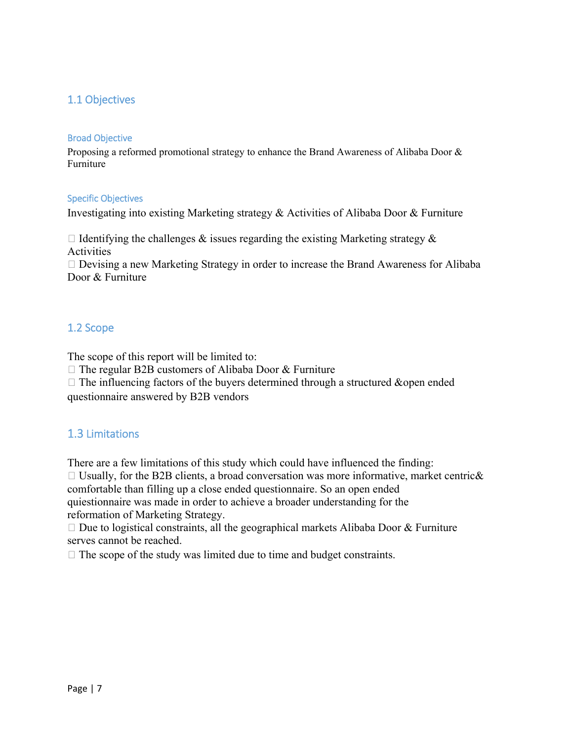## 1.1 Objectives

#### Broad Objective

Proposing a reformed promotional strategy to enhance the Brand Awareness of Alibaba Door & Furniture

#### Specific Objectives

Investigating into existing Marketing strategy & Activities of Alibaba Door & Furniture

 $\Box$  Identifying the challenges & issues regarding the existing Marketing strategy & Activities

 Devising a new Marketing Strategy in order to increase the Brand Awareness for Alibaba Door & Furniture

## 1.2 Scope

The scope of this report will be limited to:

 $\Box$  The regular B2B customers of Alibaba Door & Furniture

 $\Box$  The influencing factors of the buyers determined through a structured &open ended questionnaire answered by B2B vendors

## 1.3 Limitations

There are a few limitations of this study which could have influenced the finding:  $\Box$  Usually, for the B2B clients, a broad conversation was more informative, market centric & comfortable than filling up a close ended questionnaire. So an open ended quiestionnaire was made in order to achieve a broader understanding for the reformation of Marketing Strategy.

 $\Box$  Due to logistical constraints, all the geographical markets Alibaba Door & Furniture serves cannot be reached.

 $\Box$  The scope of the study was limited due to time and budget constraints.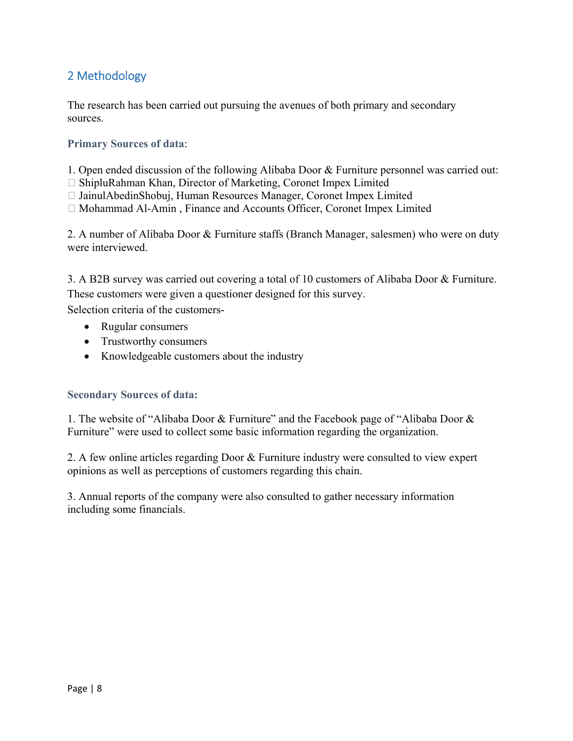## 2 Methodology

The research has been carried out pursuing the avenues of both primary and secondary sources.

#### **Primary Sources of data**:

1. Open ended discussion of the following Alibaba Door & Furniture personnel was carried out:

 $\Box$  ShipluRahman Khan, Director of Marketing, Coronet Impex Limited

□ JainulAbedinShobuj, Human Resources Manager, Coronet Impex Limited

Mohammad Al-Amin , Finance and Accounts Officer, Coronet Impex Limited

2. A number of Alibaba Door & Furniture staffs (Branch Manager, salesmen) who were on duty were interviewed.

3. A B2B survey was carried out covering a total of 10 customers of Alibaba Door & Furniture. These customers were given a questioner designed for this survey.

Selection criteria of the customers-

- Rugular consumers
- Trustworthy consumers
- Knowledgeable customers about the industry

#### **Secondary Sources of data:**

1. The website of "Alibaba Door & Furniture" and the Facebook page of "Alibaba Door & Furniture" were used to collect some basic information regarding the organization.

2. A few online articles regarding Door & Furniture industry were consulted to view expert opinions as well as perceptions of customers regarding this chain.

3. Annual reports of the company were also consulted to gather necessary information including some financials.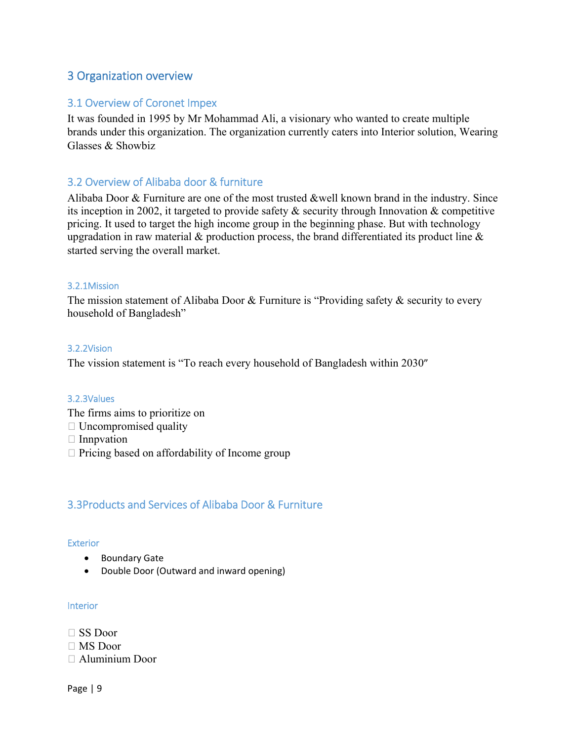## 3 Organization overview

## 3.1 Overview of Coronet Impex

It was founded in 1995 by Mr Mohammad Ali, a visionary who wanted to create multiple brands under this organization. The organization currently caters into Interior solution, Wearing Glasses & Showbiz

## 3.2 Overview of Alibaba door & furniture

Alibaba Door & Furniture are one of the most trusted &well known brand in the industry. Since its inception in 2002, it targeted to provide safety & security through Innovation & competitive pricing. It used to target the high income group in the beginning phase. But with technology upgradation in raw material  $\&$  production process, the brand differentiated its product line  $\&$ started serving the overall market.

#### 3.2.1Mission

The mission statement of Alibaba Door & Furniture is "Providing safety & security to every household of Bangladesh"

#### 3.2.2Vision

The vission statement is "To reach every household of Bangladesh within 2030"

#### 3.2.3Values

- The firms aims to prioritize on
- Uncompromised quality
- $\Box$  Innpvation
- $\Box$  Pricing based on affordability of Income group

## 3.3Products and Services of Alibaba Door & Furniture

#### Exterior

- **•** Boundary Gate
- Double Door (Outward and inward opening)

#### Interior

- SS Door
- MS Door
- Aluminium Door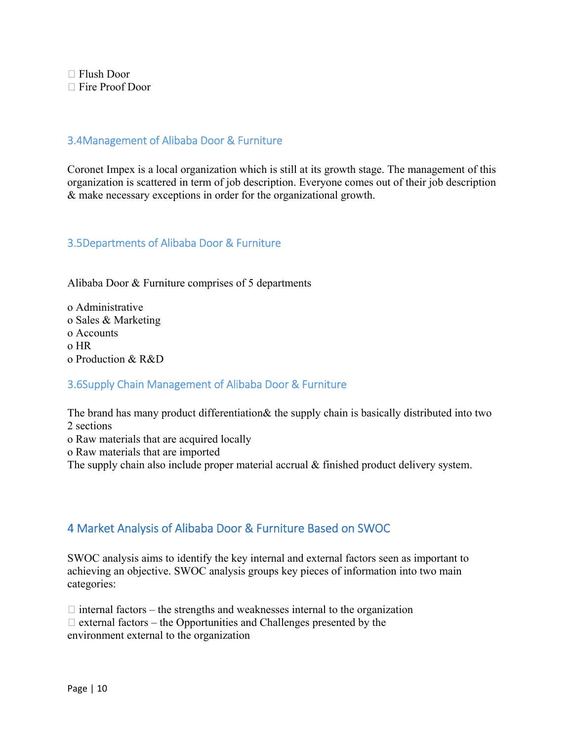Flush Door Fire Proof Door

## 3.4Management of Alibaba Door & Furniture

Coronet Impex is a local organization which is still at its growth stage. The management of this organization is scattered in term of job description. Everyone comes out of their job description & make necessary exceptions in order for the organizational growth.

## 3.5Departments of Alibaba Door & Furniture

Alibaba Door & Furniture comprises of 5 departments

o Administrative o Sales & Marketing o Accounts o HR o Production & R&D

## 3.6Supply Chain Management of Alibaba Door & Furniture

The brand has many product differentiation& the supply chain is basically distributed into two 2 sections

o Raw materials that are acquired locally

o Raw materials that are imported

The supply chain also include proper material accrual & finished product delivery system.

## 4 Market Analysis of Alibaba Door & Furniture Based on SWOC

SWOC analysis aims to identify the key internal and external factors seen as important to achieving an objective. SWOC analysis groups key pieces of information into two main categories:

 $\Box$  internal factors – the strengths and weaknesses internal to the organization  $\Box$  external factors – the Opportunities and Challenges presented by the environment external to the organization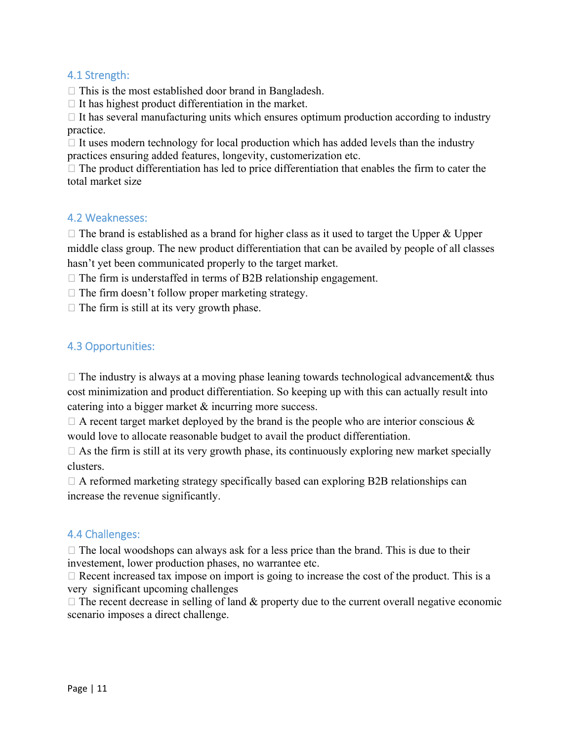## 4.1 Strength:

 $\Box$  This is the most established door brand in Bangladesh.

 $\Box$  It has highest product differentiation in the market.

 $\Box$  It has several manufacturing units which ensures optimum production according to industry practice.

 $\Box$  It uses modern technology for local production which has added levels than the industry practices ensuring added features, longevity, customerization etc.

 $\Box$  The product differentiation has led to price differentiation that enables the firm to cater the total market size

### 4.2 Weaknesses:

 $\Box$  The brand is established as a brand for higher class as it used to target the Upper & Upper middle class group. The new product differentiation that can be availed by people of all classes hasn't yet been communicated properly to the target market.

 $\Box$  The firm is understaffed in terms of B2B relationship engagement.

 $\Box$  The firm doesn't follow proper marketing strategy.

 $\Box$  The firm is still at its very growth phase.

## 4.3 Opportunities:

 $\Box$  The industry is always at a moving phase leaning towards technological advancement & thus cost minimization and product differentiation. So keeping up with this can actually result into catering into a bigger market & incurring more success.

 $\Box$  A recent target market deployed by the brand is the people who are interior conscious  $\&$ would love to allocate reasonable budget to avail the product differentiation.

 $\Box$  As the firm is still at its very growth phase, its continuously exploring new market specially clusters.

 $\Box$  A reformed marketing strategy specifically based can exploring B2B relationships can increase the revenue significantly.

## 4.4 Challenges:

 $\Box$  The local woodshops can always ask for a less price than the brand. This is due to their investement, lower production phases, no warrantee etc.

 $\Box$  Recent increased tax impose on import is going to increase the cost of the product. This is a very significant upcoming challenges

 $\Box$  The recent decrease in selling of land & property due to the current overall negative economic scenario imposes a direct challenge.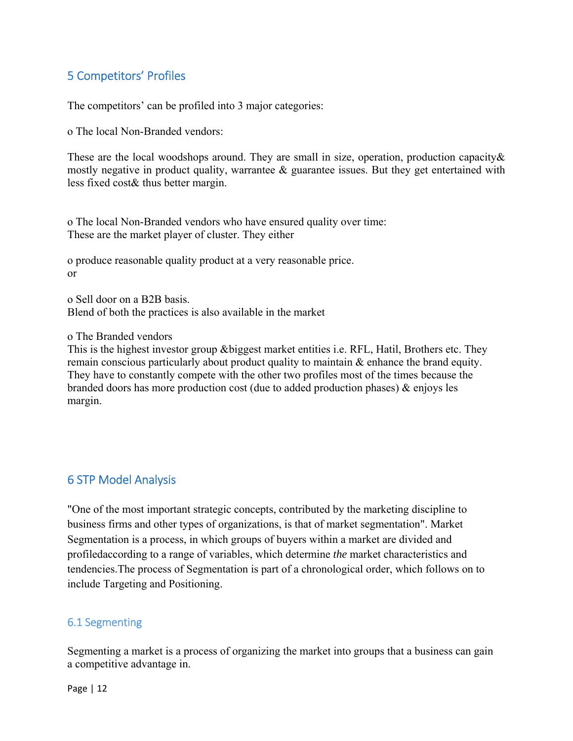## 5 Competitors' Profiles

The competitors' can be profiled into 3 major categories:

o The local Non-Branded vendors:

These are the local woodshops around. They are small in size, operation, production capacity& mostly negative in product quality, warrantee & guarantee issues. But they get entertained with less fixed cost& thus better margin.

o The local Non-Branded vendors who have ensured quality over time: These are the market player of cluster. They either

o produce reasonable quality product at a very reasonable price. or

o Sell door on a B2B basis. Blend of both the practices is also available in the market

o The Branded vendors

This is the highest investor group &biggest market entities i.e. RFL, Hatil, Brothers etc. They remain conscious particularly about product quality to maintain & enhance the brand equity. They have to constantly compete with the other two profiles most of the times because the branded doors has more production cost (due to added production phases) & enjoys les margin.

## 6 STP Model Analysis

"One of the most important strategic concepts, contributed by the marketing discipline to business firms and other types of organizations, is that of market segmentation". Market Segmentation is a process, in which groups of buyers within a market are divided and profiledaccording to a range of variables, which determine *the* market characteristics and tendencies.The process of Segmentation is part of a chronological order, which follows on to include Targeting and Positioning.

## 6.1 Segmenting

Segmenting a market is a process of organizing the market into groups that a business can gain a competitive advantage in.

Page | 12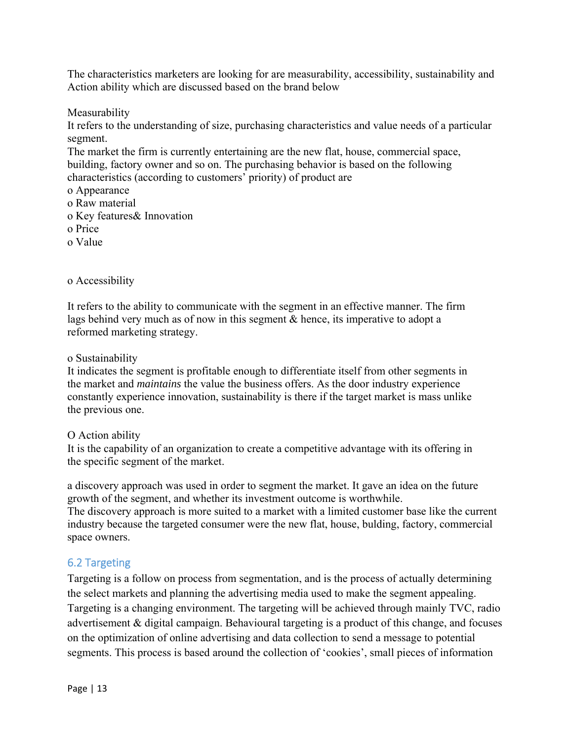The characteristics marketers are looking for are measurability, accessibility, sustainability and Action ability which are discussed based on the brand below

Measurability

It refers to the understanding of size, purchasing characteristics and value needs of a particular segment.

The market the firm is currently entertaining are the new flat, house, commercial space, building, factory owner and so on. The purchasing behavior is based on the following characteristics (according to customers' priority) of product are

- o Appearance
- o Raw material
- o Key features& Innovation
- o Price
- o Value

#### o Accessibility

It refers to the ability to communicate with the segment in an effective manner. The firm lags behind very much as of now in this segment & hence, its imperative to adopt a reformed marketing strategy.

o Sustainability

It indicates the segment is profitable enough to differentiate itself from other segments in the market and *maintains* the value the business offers. As the door industry experience constantly experience innovation, sustainability is there if the target market is mass unlike the previous one.

#### O Action ability

It is the capability of an organization to create a competitive advantage with its offering in the specific segment of the market.

a discovery approach was used in order to segment the market. It gave an idea on the future growth of the segment, and whether its investment outcome is worthwhile. The discovery approach is more suited to a market with a limited customer base like the current industry because the targeted consumer were the new flat, house, bulding, factory, commercial space owners.

## 6.2 Targeting

Targeting is a follow on process from segmentation, and is the process of actually determining the select markets and planning the advertising media used to make the segment appealing. Targeting is a changing environment. The targeting will be achieved through mainly TVC, radio advertisement & digital campaign. Behavioural targeting is a product of this change, and focuses on the optimization of online advertising and data collection to send a message to potential segments. This process is based around the collection of 'cookies', small pieces of information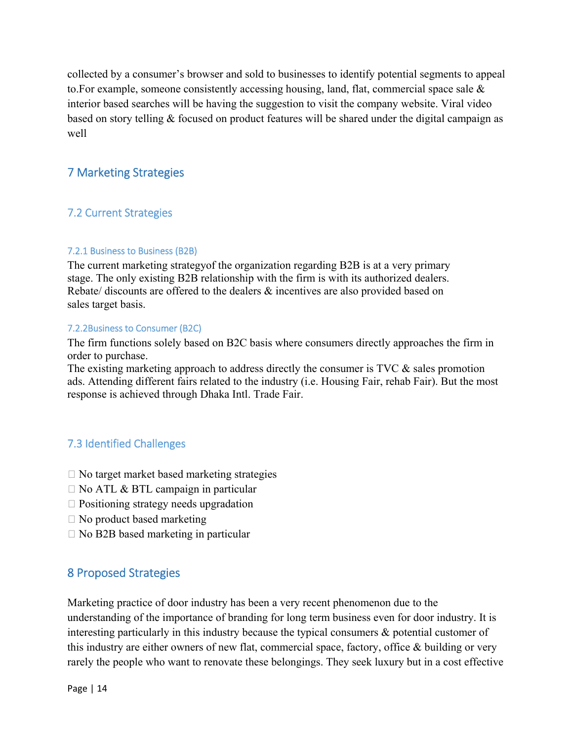collected by a consumer's browser and sold to businesses to identify potential segments to appeal to. For example, someone consistently accessing housing, land, flat, commercial space sale  $\&$ interior based searches will be having the suggestion to visit the company website. Viral video based on story telling & focused on product features will be shared under the digital campaign as well

## 7 Marketing Strategies

## 7.2 Current Strategies

#### 7.2.1 Business to Business (B2B)

The current marketing strategyof the organization regarding B2B is at a very primary stage. The only existing B2B relationship with the firm is with its authorized dealers. Rebate/ discounts are offered to the dealers & incentives are also provided based on sales target basis.

#### 7.2.2Business to Consumer (B2C)

The firm functions solely based on B2C basis where consumers directly approaches the firm in order to purchase.

The existing marketing approach to address directly the consumer is TVC & sales promotion ads. Attending different fairs related to the industry (i.e. Housing Fair, rehab Fair). But the most response is achieved through Dhaka Intl. Trade Fair.

## 7.3 Identified Challenges

- $\Box$  No target market based marketing strategies
- $\Box$  No ATL & BTL campaign in particular
- $\Box$  Positioning strategy needs upgradation
- $\Box$  No product based marketing
- $\Box$  No B2B based marketing in particular

## 8 Proposed Strategies

Marketing practice of door industry has been a very recent phenomenon due to the understanding of the importance of branding for long term business even for door industry. It is interesting particularly in this industry because the typical consumers & potential customer of this industry are either owners of new flat, commercial space, factory, office & building or very rarely the people who want to renovate these belongings. They seek luxury but in a cost effective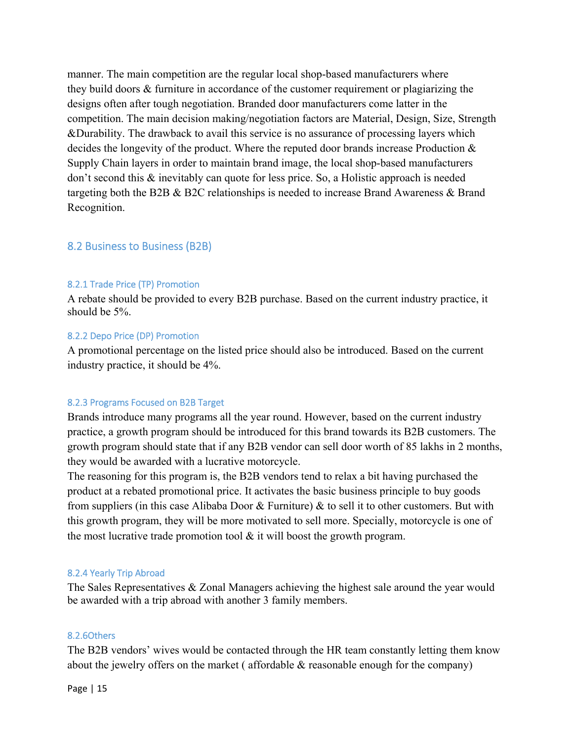manner. The main competition are the regular local shop-based manufacturers where they build doors & furniture in accordance of the customer requirement or plagiarizing the designs often after tough negotiation. Branded door manufacturers come latter in the competition. The main decision making/negotiation factors are Material, Design, Size, Strength &Durability. The drawback to avail this service is no assurance of processing layers which decides the longevity of the product. Where the reputed door brands increase Production & Supply Chain layers in order to maintain brand image, the local shop-based manufacturers don't second this & inevitably can quote for less price. So, a Holistic approach is needed targeting both the B2B & B2C relationships is needed to increase Brand Awareness & Brand Recognition.

#### 8.2 Business to Business (B2B)

#### 8.2.1 Trade Price (TP) Promotion

A rebate should be provided to every B2B purchase. Based on the current industry practice, it should be 5%.

#### 8.2.2 Depo Price (DP) Promotion

A promotional percentage on the listed price should also be introduced. Based on the current industry practice, it should be 4%.

#### 8.2.3 Programs Focused on B2B Target

Brands introduce many programs all the year round. However, based on the current industry practice, a growth program should be introduced for this brand towards its B2B customers. The growth program should state that if any B2B vendor can sell door worth of 85 lakhs in 2 months, they would be awarded with a lucrative motorcycle.

The reasoning for this program is, the B2B vendors tend to relax a bit having purchased the product at a rebated promotional price. It activates the basic business principle to buy goods from suppliers (in this case Alibaba Door & Furniture) & to sell it to other customers. But with this growth program, they will be more motivated to sell more. Specially, motorcycle is one of the most lucrative trade promotion tool  $\&$  it will boost the growth program.

#### 8.2.4 Yearly Trip Abroad

The Sales Representatives & Zonal Managers achieving the highest sale around the year would be awarded with a trip abroad with another 3 family members.

#### 8.2.6Others

The B2B vendors' wives would be contacted through the HR team constantly letting them know about the jewelry offers on the market ( affordable & reasonable enough for the company)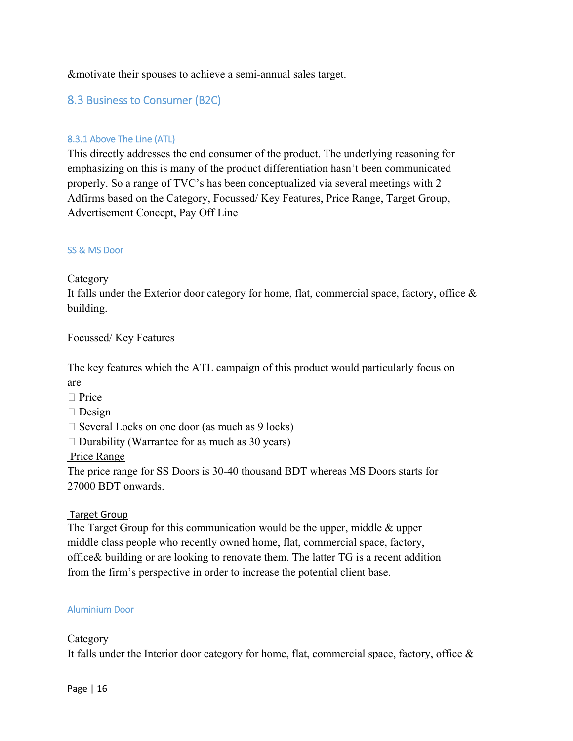#### &motivate their spouses to achieve a semi-annual sales target.

## 8.3 Business to Consumer (B2C)

#### 8.3.1 Above The Line (ATL)

This directly addresses the end consumer of the product. The underlying reasoning for emphasizing on this is many of the product differentiation hasn't been communicated properly. So a range of TVC's has been conceptualized via several meetings with 2 Adfirms based on the Category, Focussed/ Key Features, Price Range, Target Group, Advertisement Concept, Pay Off Line

#### SS & MS Door

#### Category

It falls under the Exterior door category for home, flat, commercial space, factory, office & building.

#### Focussed/ Key Features

The key features which the ATL campaign of this product would particularly focus on are

- $\Box$  Price
- $\Box$  Design
- $\Box$  Several Locks on one door (as much as 9 locks)
- $\Box$  Durability (Warrantee for as much as 30 years)

#### Price Range

The price range for SS Doors is 30-40 thousand BDT whereas MS Doors starts for 27000 BDT onwards.

#### Target Group

The Target Group for this communication would be the upper, middle & upper middle class people who recently owned home, flat, commercial space, factory, office& building or are looking to renovate them. The latter TG is a recent addition from the firm's perspective in order to increase the potential client base.

#### Aluminium Door

#### Category

It falls under the Interior door category for home, flat, commercial space, factory, office  $\&$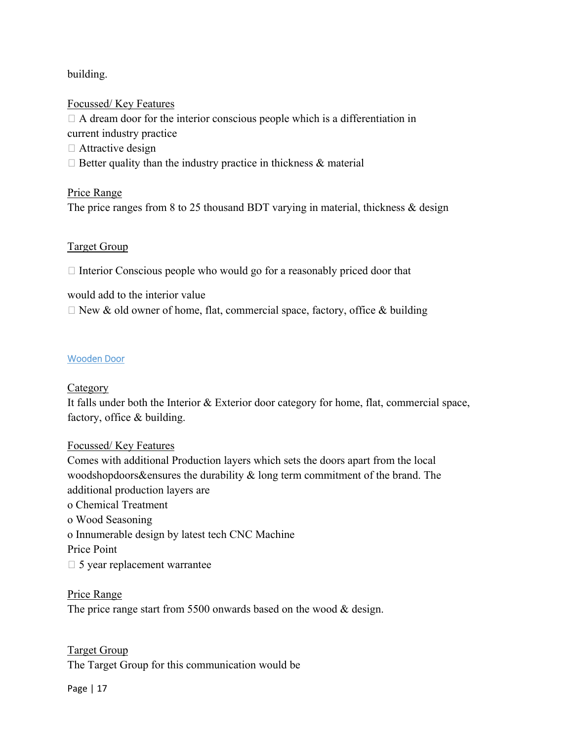## building.

## Focussed/ Key Features

 $\Box$  A dream door for the interior conscious people which is a differentiation in current industry practice □ Attractive design  $\Box$  Better quality than the industry practice in thickness & material

## Price Range The price ranges from 8 to 25 thousand BDT varying in material, thickness  $\&$  design

## Target Group

 $\Box$  Interior Conscious people who would go for a reasonably priced door that

would add to the interior value  $\Box$  New & old owner of home, flat, commercial space, factory, office & building

## Wooden Door

## Category

It falls under both the Interior & Exterior door category for home, flat, commercial space, factory, office & building.

## Focussed/ Key Features

Comes with additional Production layers which sets the doors apart from the local woodshopdoors&ensures the durability & long term commitment of the brand. The additional production layers are o Chemical Treatment o Wood Seasoning o Innumerable design by latest tech CNC Machine Price Point  $\Box$  5 year replacement warrantee

## Price Range

The price range start from 5500 onwards based on the wood & design.

## Target Group

The Target Group for this communication would be

#### Page | 17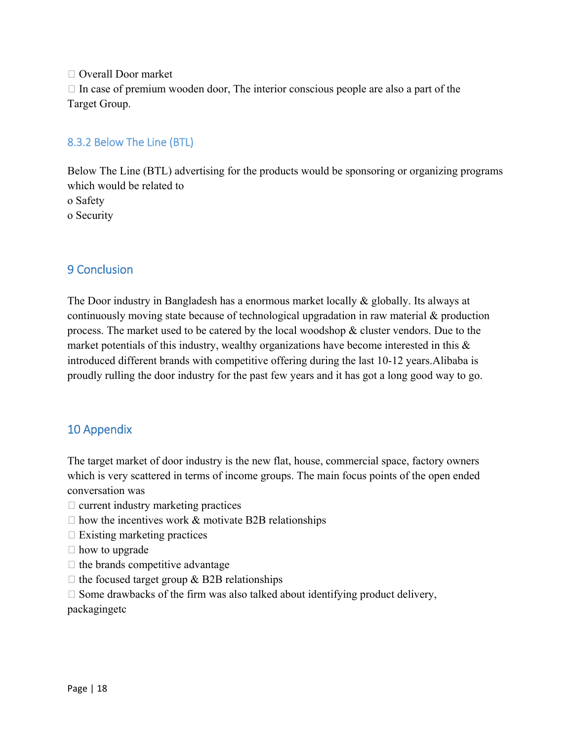Overall Door market  $\Box$  In case of premium wooden door, The interior conscious people are also a part of the Target Group.

## 8.3.2 Below The Line (BTL)

Below The Line (BTL) advertising for the products would be sponsoring or organizing programs which would be related to o Safety o Security

## 9 Conclusion

The Door industry in Bangladesh has a enormous market locally & globally. Its always at continuously moving state because of technological upgradation in raw material & production process. The market used to be catered by the local woodshop  $\&$  cluster vendors. Due to the market potentials of this industry, wealthy organizations have become interested in this  $\&$ introduced different brands with competitive offering during the last 10-12 years.Alibaba is proudly rulling the door industry for the past few years and it has got a long good way to go.

## 10 Appendix

The target market of door industry is the new flat, house, commercial space, factory owners which is very scattered in terms of income groups. The main focus points of the open ended conversation was

- $\Box$  current industry marketing practices
- $\Box$  how the incentives work & motivate B2B relationships
- $\Box$  Existing marketing practices
- $\Box$  how to upgrade
- $\Box$  the brands competitive advantage
- $\Box$  the focused target group & B2B relationships
- $\Box$  Some drawbacks of the firm was also talked about identifying product delivery,

packagingetc